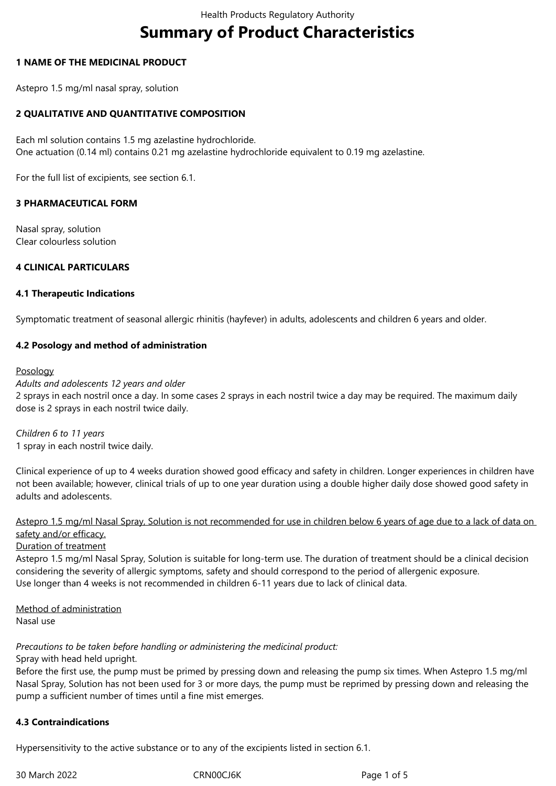# **Summary of Product Characteristics**

## **1 NAME OF THE MEDICINAL PRODUCT**

Astepro 1.5 mg/ml nasal spray, solution

## **2 QUALITATIVE AND QUANTITATIVE COMPOSITION**

Each ml solution contains 1.5 mg azelastine hydrochloride. One actuation (0.14 ml) contains 0.21 mg azelastine hydrochloride equivalent to 0.19 mg azelastine.

For the full list of excipients, see section 6.1.

#### **3 PHARMACEUTICAL FORM**

Nasal spray, solution Clear colourless solution

## **4 CLINICAL PARTICULARS**

#### **4.1 Therapeutic Indications**

Symptomatic treatment of seasonal allergic rhinitis (hayfever) in adults, adolescents and children 6 years and older.

## **4.2 Posology and method of administration**

#### Posology

#### *Adults and adolescents 12 years and older*

2 sprays in each nostril once a day. In some cases 2 sprays in each nostril twice a day may be required. The maximum daily dose is 2 sprays in each nostril twice daily.

*Children 6 to 11 years* 1 spray in each nostril twice daily.

Clinical experience of up to 4 weeks duration showed good efficacy and safety in children. Longer experiences in children have not been available; however, clinical trials of up to one year duration using a double higher daily dose showed good safety in adults and adolescents.

Astepro 1.5 mg/ml Nasal Spray, Solution is not recommended for use in children below 6 years of age due to a lack of data on safety and/or efficacy.

### Duration of treatment

Astepro 1.5 mg/ml Nasal Spray, Solution is suitable for long-term use. The duration of treatment should be a clinical decision considering the severity of allergic symptoms, safety and should correspond to the period of allergenic exposure. Use longer than 4 weeks is not recommended in children 6-11 years due to lack of clinical data.

Method of administration Nasal use

*Precautions to be taken before handling or administering the medicinal product:*

Spray with head held upright.

Before the first use, the pump must be primed by pressing down and releasing the pump six times. When Astepro 1.5 mg/ml Nasal Spray, Solution has not been used for 3 or more days, the pump must be reprimed by pressing down and releasing the pump a sufficient number of times until a fine mist emerges.

#### **4.3 Contraindications**

Hypersensitivity to the active substance or to any of the excipients listed in section 6.1.

30 March 2022 CRN00CJ6K Page 1 of 5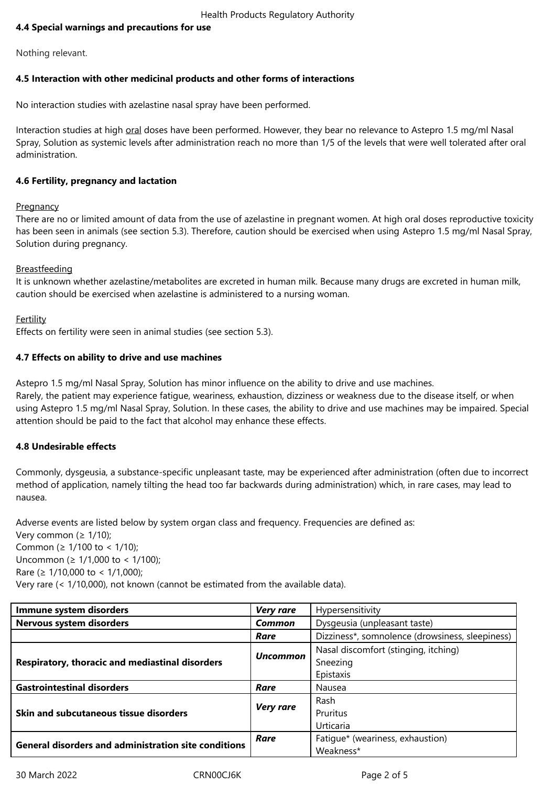# **4.4 Special warnings and precautions for use**

Nothing relevant.

## **4.5 Interaction with other medicinal products and other forms of interactions**

No interaction studies with azelastine nasal spray have been performed.

Interaction studies at high oral doses have been performed. However, they bear no relevance to Astepro 1.5 mg/ml Nasal Spray, Solution as systemic levels after administration reach no more than 1/5 of the levels that were well tolerated after oral administration.

## **4.6 Fertility, pregnancy and lactation**

#### **Pregnancy**

There are no or limited amount of data from the use of azelastine in pregnant women. At high oral doses reproductive toxicity has been seen in animals (see section 5.3). Therefore, caution should be exercised when using Astepro 1.5 mg/ml Nasal Spray, Solution during pregnancy.

## **Breastfeeding**

It is unknown whether azelastine/metabolites are excreted in human milk. Because many drugs are excreted in human milk, caution should be exercised when azelastine is administered to a nursing woman.

## **Fertility**

Effects on fertility were seen in animal studies (see section 5.3).

# **4.7 Effects on ability to drive and use machines**

Astepro 1.5 mg/ml Nasal Spray, Solution has minor influence on the ability to drive and use machines.

Rarely, the patient may experience fatigue, weariness, exhaustion, dizziness or weakness due to the disease itself, or when using Astepro 1.5 mg/ml Nasal Spray, Solution. In these cases, the ability to drive and use machines may be impaired. Special attention should be paid to the fact that alcohol may enhance these effects.

# **4.8 Undesirable effects**

Commonly, dysgeusia, a substance-specific unpleasant taste, may be experienced after administration (often due to incorrect method of application, namely tilting the head too far backwards during administration) which, in rare cases, may lead to nausea.

Adverse events are listed below by system organ class and frequency. Frequencies are defined as: Very common ( $\geq 1/10$ ); Common (≥ 1/100 to < 1/10); Uncommon (≥ 1/1,000 to < 1/100); Rare (≥ 1/10,000 to < 1/1,000); Very rare (< 1/10,000), not known (cannot be estimated from the available data).

| Immune system disorders                                     | <b>Very rare</b> | Hypersensitivity                                |
|-------------------------------------------------------------|------------------|-------------------------------------------------|
| Nervous system disorders                                    | Common           | Dysgeusia (unpleasant taste)                    |
|                                                             | Rare             | Dizziness*, somnolence (drowsiness, sleepiness) |
| Respiratory, thoracic and mediastinal disorders             | <b>Uncommon</b>  | Nasal discomfort (stinging, itching)            |
|                                                             |                  | Sneezing                                        |
|                                                             |                  | Epistaxis                                       |
| <b>Gastrointestinal disorders</b>                           | Rare             | Nausea                                          |
| Skin and subcutaneous tissue disorders                      | <b>Very rare</b> | Rash                                            |
|                                                             |                  | Pruritus                                        |
|                                                             |                  | Urticaria                                       |
| <b>General disorders and administration site conditions</b> | Rare             | Fatique* (weariness, exhaustion)                |
|                                                             |                  | Weakness*                                       |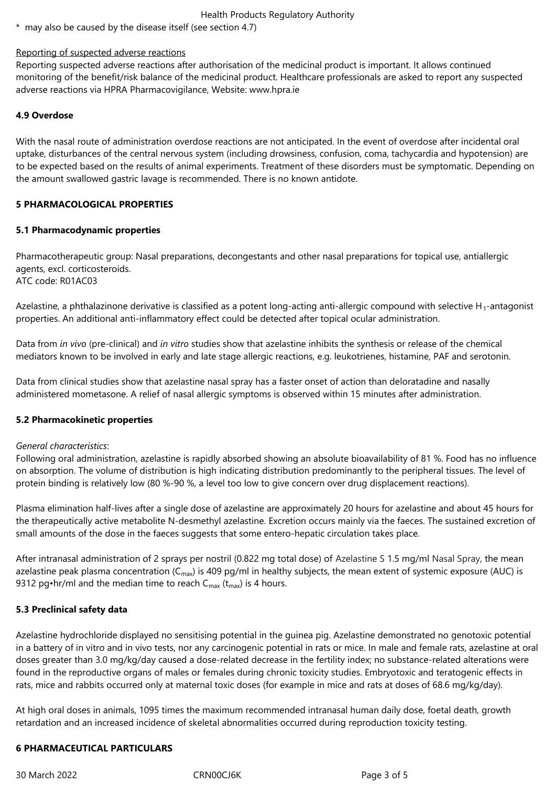### Health Products Regulatory Authority

\* may also be caused by the disease itself (see section 4.7)

## Reporting of suspected adverse reactions

Reporting suspected adverse reactions after authorisation of the medicinal product is important. It allows continued monitoring of the benefit/risk balance of the medicinal product. Healthcare professionals are asked to report any suspected adverse reactions via HPRA Pharmacovigilance, Website: www.hpra.ie

# **4.9 Overdose**

With the nasal route of administration overdose reactions are not anticipated. In the event of overdose after incidental oral uptake, disturbances of the central nervous system (including drowsiness, confusion, coma, tachycardia and hypotension) are to be expected based on the results of animal experiments. Treatment of these disorders must be symptomatic. Depending on the amount swallowed gastric lavage is recommended. There is no known antidote.

# **5 PHARMACOLOGICAL PROPERTIES**

# **5.1 Pharmacodynamic properties**

Pharmacotherapeutic group: Nasal preparations, decongestants and other nasal preparations for topical use, antiallergic agents, excl. corticosteroids. ATC code: R01AC03

Azelastine, a phthalazinone derivative is classified as a potent long-acting anti-allergic compound with selective  $H_1$ -antagonist properties. An additional anti-inflammatory effect could be detected after topical ocular administration.

Data from *in vivo* (pre-clinical) and *in vitro* studies show that azelastine inhibits the synthesis or release of the chemical mediators known to be involved in early and late stage allergic reactions, e.g. leukotrienes, histamine, PAF and serotonin.

Data from clinical studies show that azelastine nasal spray has a faster onset of action than deloratadine and nasally administered mometasone. A relief of nasal allergic symptoms is observed within 15 minutes after administration.

# **5.2 Pharmacokinetic properties**

#### *General characteristics*:

Following oral administration, azelastine is rapidly absorbed showing an absolute bioavailability of 81 %. Food has no influence on absorption. The volume of distribution is high indicating distribution predominantly to the peripheral tissues. The level of protein binding is relatively low (80 %-90 %, a level too low to give concern over drug displacement reactions).

Plasma elimination half-lives after a single dose of azelastine are approximately 20 hours for azelastine and about 45 hours for the therapeutically active metabolite N-desmethyl azelastine. Excretion occurs mainly via the faeces. The sustained excretion of small amounts of the dose in the faeces suggests that some entero-hepatic circulation takes place.

After intranasal administration of 2 sprays per nostril (0.822 mg total dose) of Azelastine S 1.5 mg/ml Nasal Spray, the mean azelastine peak plasma concentration ( $C_{\text{max}}$ ) is 409 pg/ml in healthy subjects, the mean extent of systemic exposure (AUC) is 9312 pg•hr/ml and the median time to reach  $C_{\text{max}}$  (t<sub>max</sub>) is 4 hours.

# **5.3 Preclinical safety data**

Azelastine hydrochloride displayed no sensitising potential in the guinea pig. Azelastine demonstrated no genotoxic potential in a battery of in vitro and in vivo tests, nor any carcinogenic potential in rats or mice. In male and female rats, azelastine at oral doses greater than 3.0 mg/kg/day caused a dose-related decrease in the fertility index; no substance-related alterations were found in the reproductive organs of males or females during chronic toxicity studies. Embryotoxic and teratogenic effects in rats, mice and rabbits occurred only at maternal toxic doses (for example in mice and rats at doses of 68.6 mg/kg/day).

At high oral doses in animals, 1095 times the maximum recommended intranasal human daily dose, foetal death, growth retardation and an increased incidence of skeletal abnormalities occurred during reproduction toxicity testing.

# **6 PHARMACEUTICAL PARTICULARS**

30 March 2022 CRN00CJ6K Page 3 of 5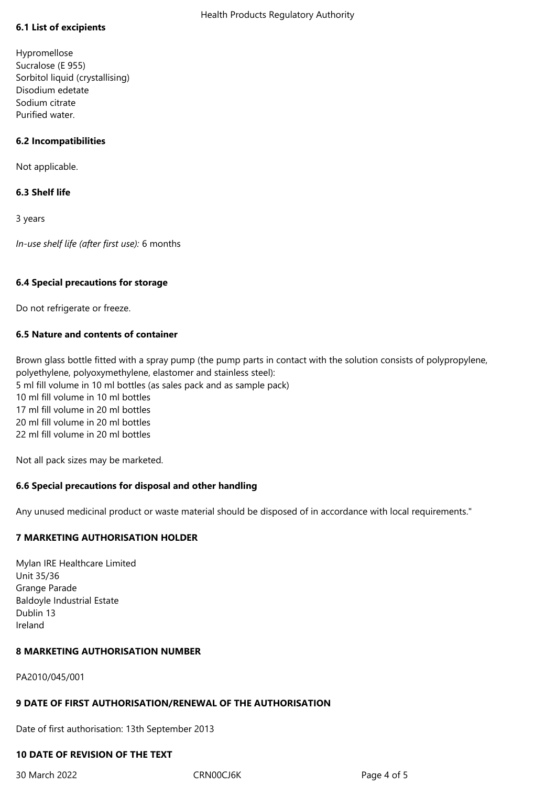# **6.1 List of excipients**

Hypromellose Sucralose (E 955) Sorbitol liquid (crystallising) Disodium edetate Sodium citrate Purified water.

# **6.2 Incompatibilities**

Not applicable.

# **6.3 Shelf life**

3 years

*In-use shelf life (after first use):* 6 months

## **6.4 Special precautions for storage**

Do not refrigerate or freeze.

# **6.5 Nature and contents of container**

Brown glass bottle fitted with a spray pump (the pump parts in contact with the solution consists of polypropylene, polyethylene, polyoxymethylene, elastomer and stainless steel): 5 ml fill volume in 10 ml bottles (as sales pack and as sample pack) 10 ml fill volume in 10 ml bottles 17 ml fill volume in 20 ml bottles 20 ml fill volume in 20 ml bottles 22 ml fill volume in 20 ml bottles

Not all pack sizes may be marketed.

# **6.6 Special precautions for disposal and other handling**

Any unused medicinal product or waste material should be disposed of in accordance with local requirements."

# **7 MARKETING AUTHORISATION HOLDER**

Mylan IRE Healthcare Limited Unit 35/36 Grange Parade Baldoyle Industrial Estate Dublin 13 Ireland

# **8 MARKETING AUTHORISATION NUMBER**

PA2010/045/001

# **9 DATE OF FIRST AUTHORISATION/RENEWAL OF THE AUTHORISATION**

Date of first authorisation: 13th September 2013

# **10 DATE OF REVISION OF THE TEXT**

30 March 2022 CRN00CJ6K Page 4 of 5